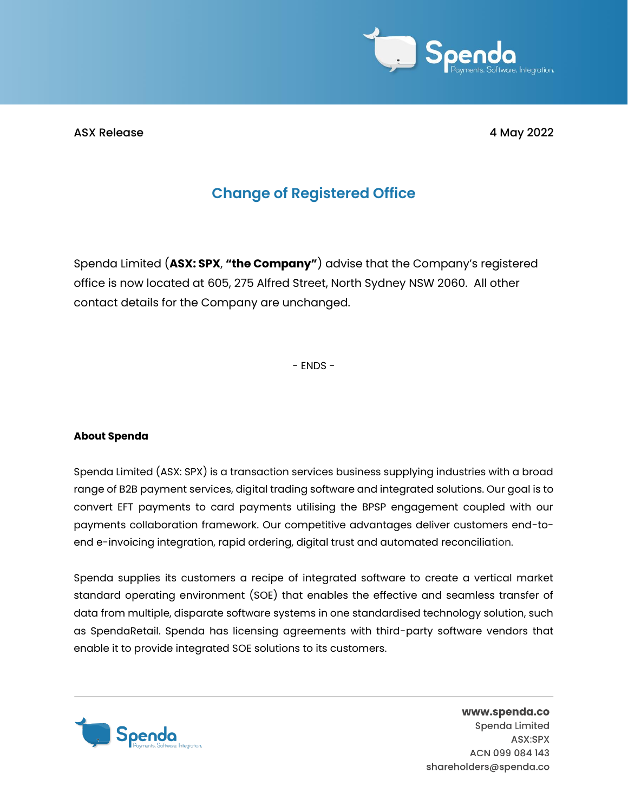

ASX Release 4 May 2022

## **Change of Registered Office**

Spenda Limited (**ASX: SPX**, **"the Company"**) advise that the Company's registered office is now located at 605, 275 Alfred Street, North Sydney NSW 2060. All other contact details for the Company are unchanged.

- ENDS -

## **About Spenda**

Spenda Limited (ASX: SPX) is a transaction services business supplying industries with a broad range of B2B payment services, digital trading software and integrated solutions. Our goal is to convert EFT payments to card payments utilising the BPSP engagement coupled with our payments collaboration framework. Our competitive advantages deliver customers end-toend e-invoicing integration, rapid ordering, digital trust and automated reconciliation.

Spenda supplies its customers a recipe of integrated software to create a vertical market standard operating environment (SOE) that enables the effective and seamless transfer of data from multiple, disparate software systems in one standardised technology solution, such as SpendaRetail. Spenda has licensing agreements with third-party software vendors that enable it to provide integrated SOE solutions to its customers.



www.spenda.co Spenda Limited ASX:SPX ACN 099 084 143 shareholders@spenda.co